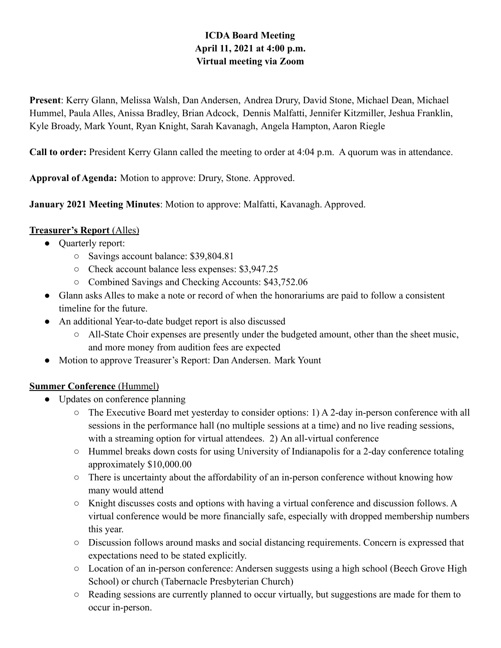# **ICDA Board Meeting April 11, 2021 at 4:00 p.m. Virtual meeting via Zoom**

**Present**: Kerry Glann, Melissa Walsh, Dan Andersen, Andrea Drury, David Stone, Michael Dean, Michael Hummel, Paula Alles, Anissa Bradley, Brian Adcock, Dennis Malfatti, Jennifer Kitzmiller, Jeshua Franklin, Kyle Broady, Mark Yount, Ryan Knight, Sarah Kavanagh, Angela Hampton, Aaron Riegle

**Call to order:** President Kerry Glann called the meeting to order at 4:04 p.m. A quorum was in attendance.

**Approval of Agenda:** Motion to approve: Drury, Stone. Approved.

**January 2021 Meeting Minutes**: Motion to approve: Malfatti, Kavanagh. Approved.

# **Treasurer's Report** (Alles)

- Quarterly report:
	- Savings account balance: \$39,804.81
	- Check account balance less expenses: \$3,947.25
	- Combined Savings and Checking Accounts: \$43,752.06
- Glann asks Alles to make a note or record of when the honorariums are paid to follow a consistent timeline for the future.
- An additional Year-to-date budget report is also discussed
	- All-State Choir expenses are presently under the budgeted amount, other than the sheet music, and more money from audition fees are expected
- Motion to approve Treasurer's Report: Dan Andersen. Mark Yount

# **Summer Conference** (Hummel)

- Updates on conference planning
	- The Executive Board met yesterday to consider options: 1) A 2-day in-person conference with all sessions in the performance hall (no multiple sessions at a time) and no live reading sessions, with a streaming option for virtual attendees. 2) An all-virtual conference
	- Hummel breaks down costs for using University of Indianapolis for a 2-day conference totaling approximately \$10,000.00
	- There is uncertainty about the affordability of an in-person conference without knowing how many would attend
	- Knight discusses costs and options with having a virtual conference and discussion follows. A virtual conference would be more financially safe, especially with dropped membership numbers this year.
	- Discussion follows around masks and social distancing requirements. Concern is expressed that expectations need to be stated explicitly.
	- Location of an in-person conference: Andersen suggests using a high school (Beech Grove High School) or church (Tabernacle Presbyterian Church)
	- Reading sessions are currently planned to occur virtually, but suggestions are made for them to occur in-person.